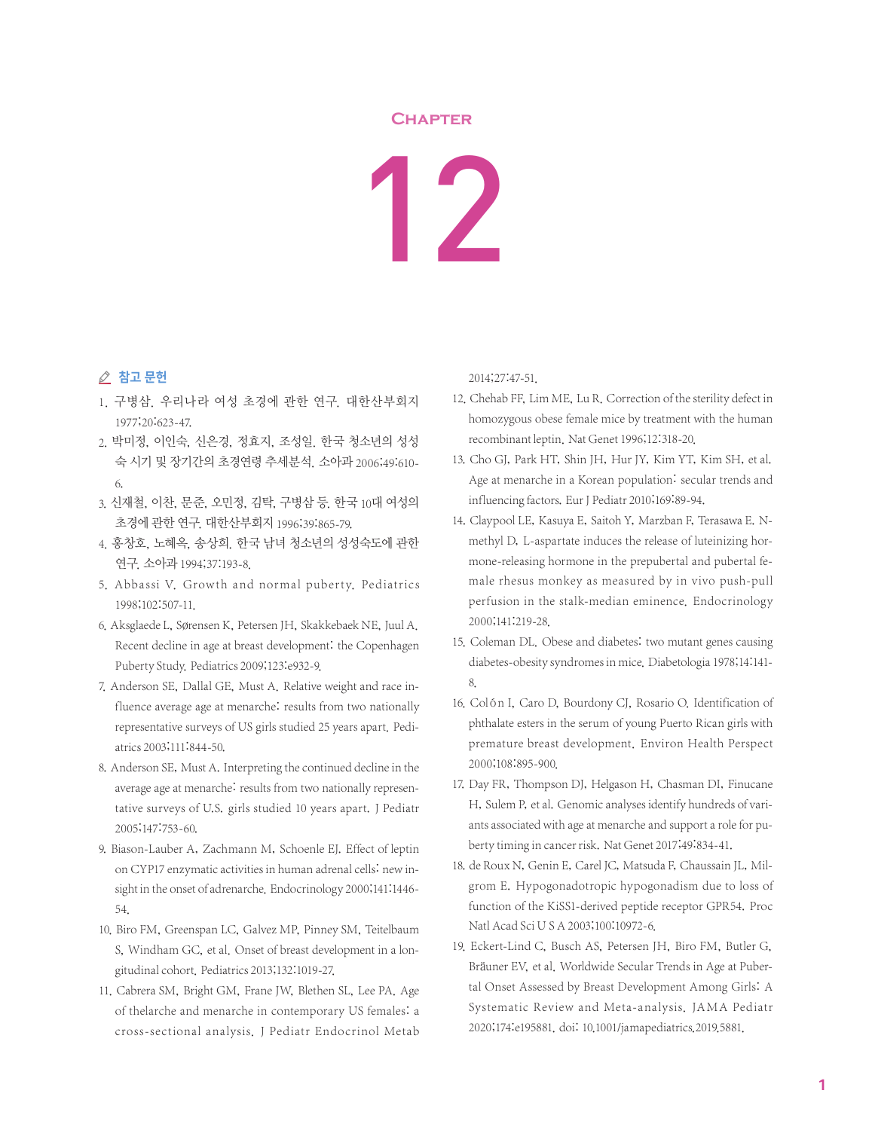## **Chapter**

## 12

## ⊘ 참고 문헌

- 1. 구병삼. 우리나라 여성 초경에 관한 연구. 대한산부회지 1977;20:623-47.
- 2. 박미정, 이인숙, 신은경, 정효지, 조성일. 한국 청소년의 성성 숙 시기 및 장기간의 초경연령 추세분석. 소아과 2006;49:610- 6.
- 3. 신재철, 이찬, 문준, 오민정, 김탁, 구병삼 등. 한국 10대 여성의 초경에 관한 연구. 대한산부회지 1996;39:865-79.
- 4. 홍창호, 노혜옥, 송상희. 한국 남녀 청소년의 성성숙도에 관한 연구. 소아과 1994;37:193-8.
- 5. Abbassi V. Growth and normal puberty. Pediatrics 1998;102:507-11.
- 6. Aksglaede L, Sørensen K, Petersen JH, Skakkebaek NE, Juul A. Recent decline in age at breast development: the Copenhagen Puberty Study. Pediatrics 2009;123:e932-9.
- 7. Anderson SE, Dallal GE, Must A. Relative weight and race influence average age at menarche: results from two nationally representative surveys of US girls studied 25 years apart. Pediatrics 2003;111:844-50.
- 8. Anderson SE, Must A. Interpreting the continued decline in the average age at menarche: results from two nationally representative surveys of U.S. girls studied 10 years apart. J Pediatr 2005;147:753-60.
- 9. Biason-Lauber A, Zachmann M, Schoenle EJ. Effect of leptin on CYP17 enzymatic activities in human adrenal cells: new insight in the onset of adrenarche. Endocrinology 2000;141:1446-54.
- 10. Biro FM, Greenspan LC, Galvez MP, Pinney SM, Teitelbaum S, Windham GC, et al. Onset of breast development in a longitudinal cohort. Pediatrics 2013;132:1019-27.
- 11. Cabrera SM, Bright GM, Frane JW, Blethen SL, Lee PA. Age of thelarche and menarche in contemporary US females: a cross-sectional analysis. J Pediatr Endocrinol Metab

2014;27:47-51.

- 12. Chehab FF, Lim ME, Lu R. Correction of the sterility defect in homozygous obese female mice by treatment with the human recombinant leptin. Nat Genet 1996;12:318-20.
- 13. Cho GJ, Park HT, Shin JH, Hur JY, Kim YT, Kim SH, et al. Age at menarche in a Korean population: secular trends and influencing factors. Eur J Pediatr 2010;169:89-94.
- 14. Claypool LE, Kasuya E, Saitoh Y, Marzban F, Terasawa E. Nmethyl D, L-aspartate induces the release of luteinizing hormone-releasing hormone in the prepubertal and pubertal female rhesus monkey as measured by in vivo push-pull perfusion in the stalk-median eminence. Endocrinology 2000;141:219-28.
- 15. Coleman DL. Obese and diabetes: two mutant genes causing diabetes-obesity syndromes in mice. Diabetologia 1978;14:141- 8.
- 16. Colón I, Caro D, Bourdony CJ, Rosario O. Identification of phthalate esters in the serum of young Puerto Rican girls with premature breast development. Environ Health Perspect 2000;108:895-900.
- 17. Day FR, Thompson DJ, Helgason H, Chasman DI, Finucane H, Sulem P, et al. Genomic analyses identify hundreds of variants associated with age at menarche and support a role for puberty timing in cancer risk. Nat Genet 2017;49:834-41.
- 18. de Roux N, Genin E, Carel JC, Matsuda F, Chaussain JL, Milgrom E. Hypogonadotropic hypogonadism due to loss of function of the KiSS1-derived peptide receptor GPR54. Proc Natl Acad Sci U S A 2003;100:10972-6.
- 19. Eckert-Lind C, Busch AS, Petersen JH, Biro FM, Butler G, Bräuner EV, et al. Worldwide Secular Trends in Age at Pubertal Onset Assessed by Breast Development Among Girls: A Systematic Review and Meta-analysis. JAMA Pediatr 2020;174:e195881. doi: 10.1001/jamapediatrics.2019.5881.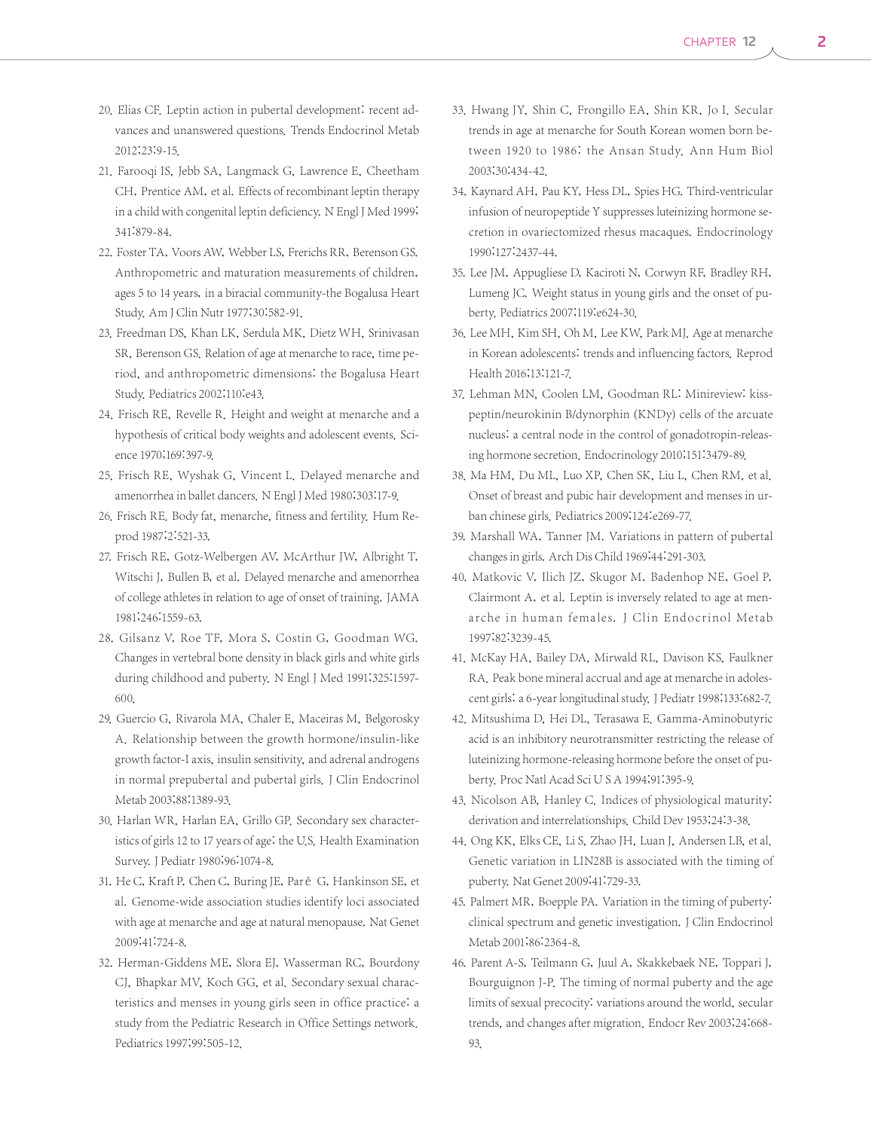- 20. Elias CF. Leptin action in pubertal development: recent advances and unanswered questions. Trends Endocrinol Metab 2012;23:9-15.
- 21. Farooqi IS, Jebb SA, Langmack G, Lawrence E, Cheetham CH, Prentice AM, et al. Effects of recombinant leptin therapy in a child with congenital leptin deficiency. N Engl J Med 1999; 341:879-84.
- 22. Foster TA, Voors AW, Webber LS, Frerichs RR, Berenson GS. Anthropometric and maturation measurements of children, ages 5 to 14 years, in a biracial community-the Bogalusa Heart Study. Am J Clin Nutr 1977;30:582-91.
- 23. Freedman DS, Khan LK, Serdula MK, Dietz WH, Srinivasan SR, Berenson GS. Relation of age at menarche to race, time period, and anthropometric dimensions: the Bogalusa Heart Study. Pediatrics 2002;110:e43.
- 24. Frisch RE, Revelle R. Height and weight at menarche and a hypothesis of critical body weights and adolescent events. Science 1970;169:397-9.
- 25. Frisch RE, Wyshak G, Vincent L. Delayed menarche and amenorrhea in ballet dancers. N Engl J Med 1980;303:17-9.
- 26. Frisch RE. Body fat, menarche, fitness and fertility. Hum Reprod 1987;2:521-33.
- 27. Frisch RE, Gotz-Welbergen AV, McArthur JW, Albright T, Witschi J, Bullen B, et al. Delayed menarche and amenorrhea of college athletes in relation to age of onset of training. JAMA 1981;246:1559-63.
- 28. Gilsanz V, Roe TF, Mora S, Costin G, Goodman WG. Changes in vertebral bone density in black girls and white girls during childhood and puberty. N Engl J Med 1991;325:1597- 600.
- 29. Guercio G, Rivarola MA, Chaler E, Maceiras M, Belgorosky A. Relationship between the growth hormone/insulin-like growth factor-I axis, insulin sensitivity, and adrenal androgens in normal prepubertal and pubertal girls. J Clin Endocrinol Metab 2003;88:1389-93.
- 30. Harlan WR, Harlan EA, Grillo GP. Secondary sex characteristics of girls 12 to 17 years of age: the U.S. Health Examination Survey. J Pediatr 1980;96:1074-8.
- 31. He C, Kraft P, Chen C, Buring JE, Paré G, Hankinson SE, et al. Genome-wide association studies identify loci associated with age at menarche and age at natural menopause. Nat Genet 2009;41:724-8.
- 32. Herman-Giddens ME, Slora EJ, Wasserman RC, Bourdony CJ, Bhapkar MV, Koch GG, et al. Secondary sexual characteristics and menses in young girls seen in office practice: a study from the Pediatric Research in Office Settings network. Pediatrics 1997;99:505-12.
- 33. Hwang JY, Shin C, Frongillo EA, Shin KR, Jo I. Secular trends in age at menarche for South Korean women born between 1920 to 1986: the Ansan Study. Ann Hum Biol 2003;30:434-42.
- 34. Kaynard AH, Pau KY, Hess DL, Spies HG. Third-ventricular infusion of neuropeptide Y suppresses luteinizing hormone secretion in ovariectomized rhesus macaques. Endocrinology 1990;127:2437-44.
- 35. Lee JM, Appugliese D, Kaciroti N, Corwyn RF, Bradley RH, Lumeng JC. Weight status in young girls and the onset of puberty. Pediatrics 2007;119:e624-30.
- 36. Lee MH, Kim SH, Oh M, Lee KW, Park MJ. Age at menarche in Korean adolescents: trends and influencing factors. Reprod Health 2016;13:121-7.
- 37. Lehman MN, Coolen LM, Goodman RL: Minireview: kisspeptin/neurokinin B/dynorphin (KNDy) cells of the arcuate nucleus: a central node in the control of gonadotropin-releasing hormone secretion. Endocrinology 2010;151:3479-89.
- 38. Ma HM, Du ML, Luo XP, Chen SK, Liu L, Chen RM, et al. Onset of breast and pubic hair development and menses in urban chinese girls. Pediatrics 2009;124:e269-77.
- 39. Marshall WA, Tanner JM. Variations in pattern of pubertal changes in girls. Arch Dis Child 1969;44:291-303.
- 40. Matkovic V, Ilich JZ, Skugor M, Badenhop NE, Goel P, Clairmont A, et al. Leptin is inversely related to age at menarche in human females. J Clin Endocrinol Metab 1997;82:3239-45.
- 41. McKay HA, Bailey DA, Mirwald RL, Davison KS, Faulkner RA. Peak bone mineral accrual and age at menarche in adolescent girls: a 6-year longitudinal study. J Pediatr 1998;133:682-7.
- 42. Mitsushima D, Hei DL, Terasawa E. Gamma-Aminobutyric acid is an inhibitory neurotransmitter restricting the release of luteinizing hormone-releasing hormone before the onset of puberty. Proc Natl Acad Sci U S A 1994;91:395-9.
- 43. Nicolson AB, Hanley C. Indices of physiological maturity: derivation and interrelationships. Child Dev 1953;24:3-38.
- 44. Ong KK, Elks CE, Li S, Zhao JH, Luan J, Andersen LB, et al. Genetic variation in LIN28B is associated with the timing of puberty. Nat Genet 2009;41:729-33.
- 45. Palmert MR, Boepple PA. Variation in the timing of puberty: clinical spectrum and genetic investigation. J Clin Endocrinol Metab 2001;86:2364-8.
- 46. Parent A-S, Teilmann G, Juul A, Skakkebaek NE, Toppari J, Bourguignon J-P. The timing of normal puberty and the age limits of sexual precocity: variations around the world, secular trends, and changes after migration. Endocr Rev 2003;24:668- 93.